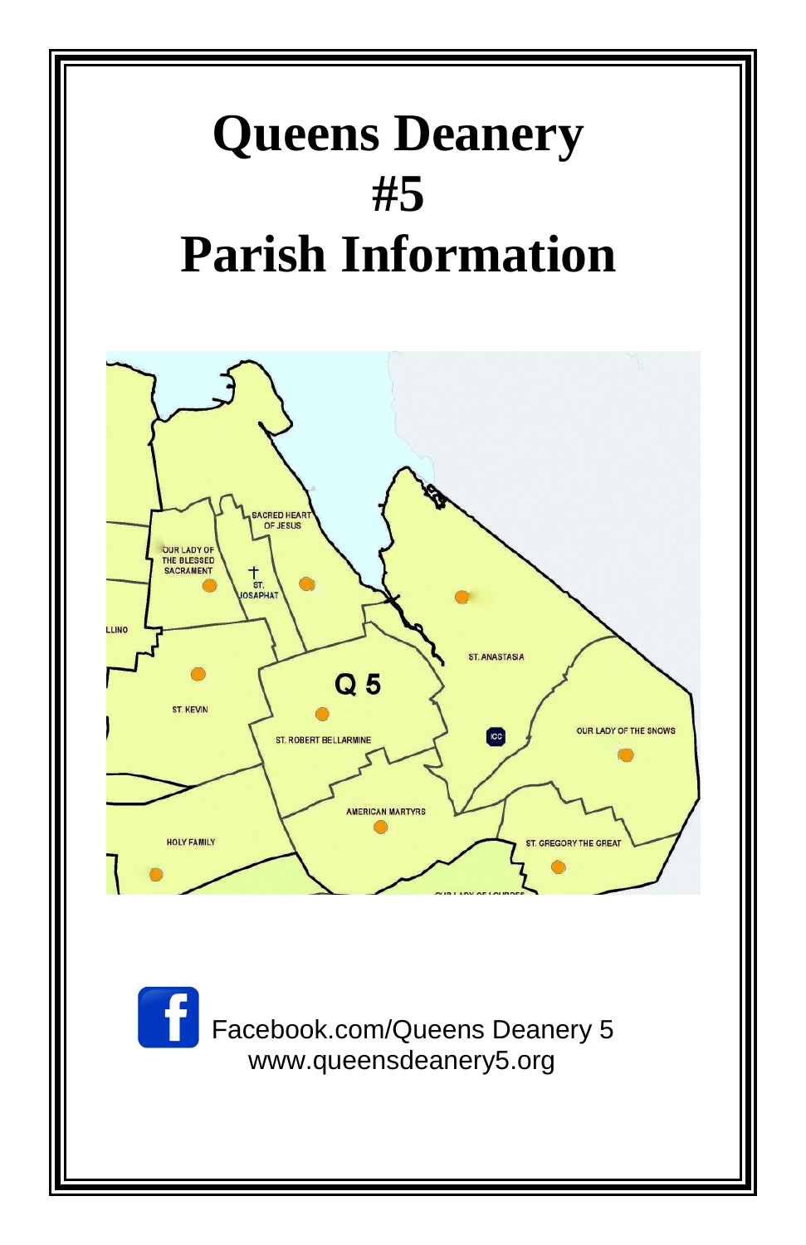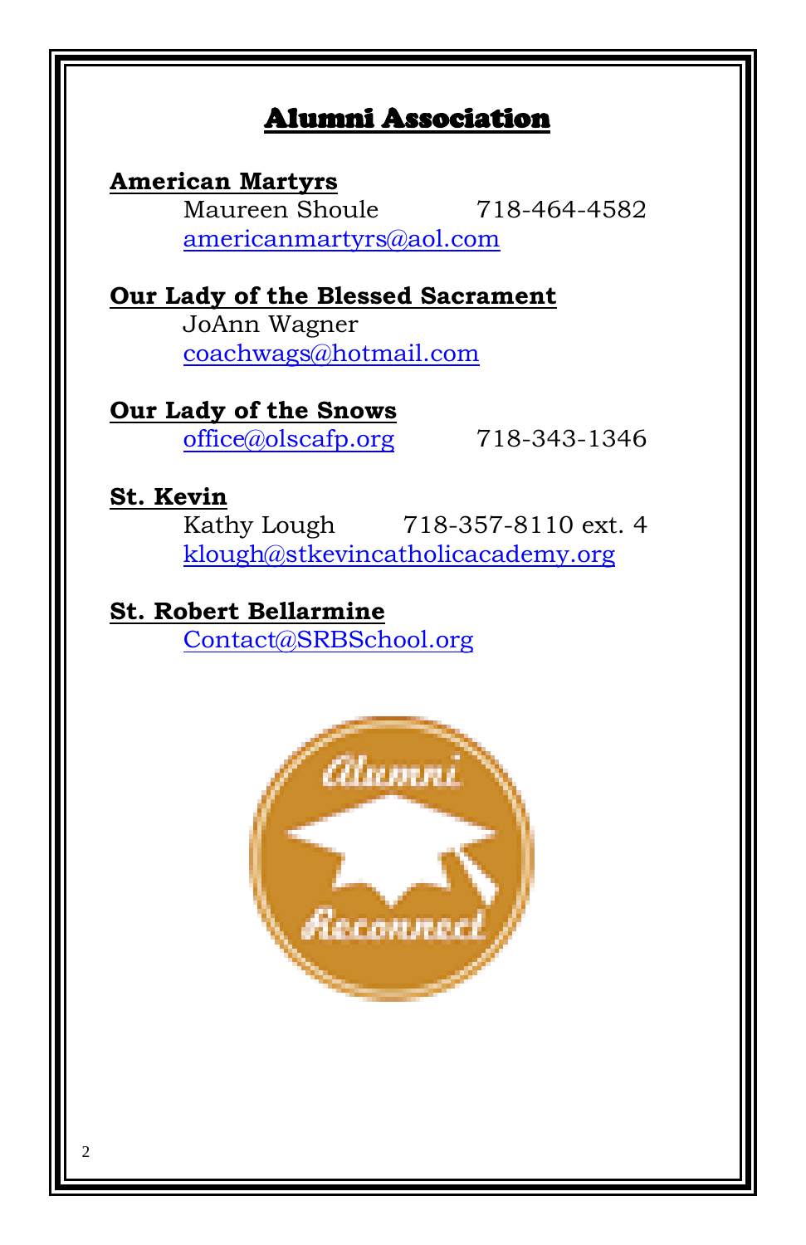# Alumni Association

#### **American Martyrs**

Maureen Shoule 718-464-4582 [americanmartyrs@aol.com](mailto:americanmartyrs@aol.com)

**Our Lady of the Blessed Sacrament** JoAnn Wagner [coachwags@hotmail.com](mailto:coachwags@hotmail.com)

# **Our Lady of the Snows**

[office@olscafp.org](mailto:office@olscafp.org) 718-343-1346

# **St. Kevin**

Kathy Lough 718-357-8110 ext. 4 [klough@stkevincatholicacademy.org](mailto:klough@stkevincatholicacademy.org)

# **St. Robert Bellarmine**

[Contact@SRBSchool.org](mailto:Contact@SRBSchool.org)

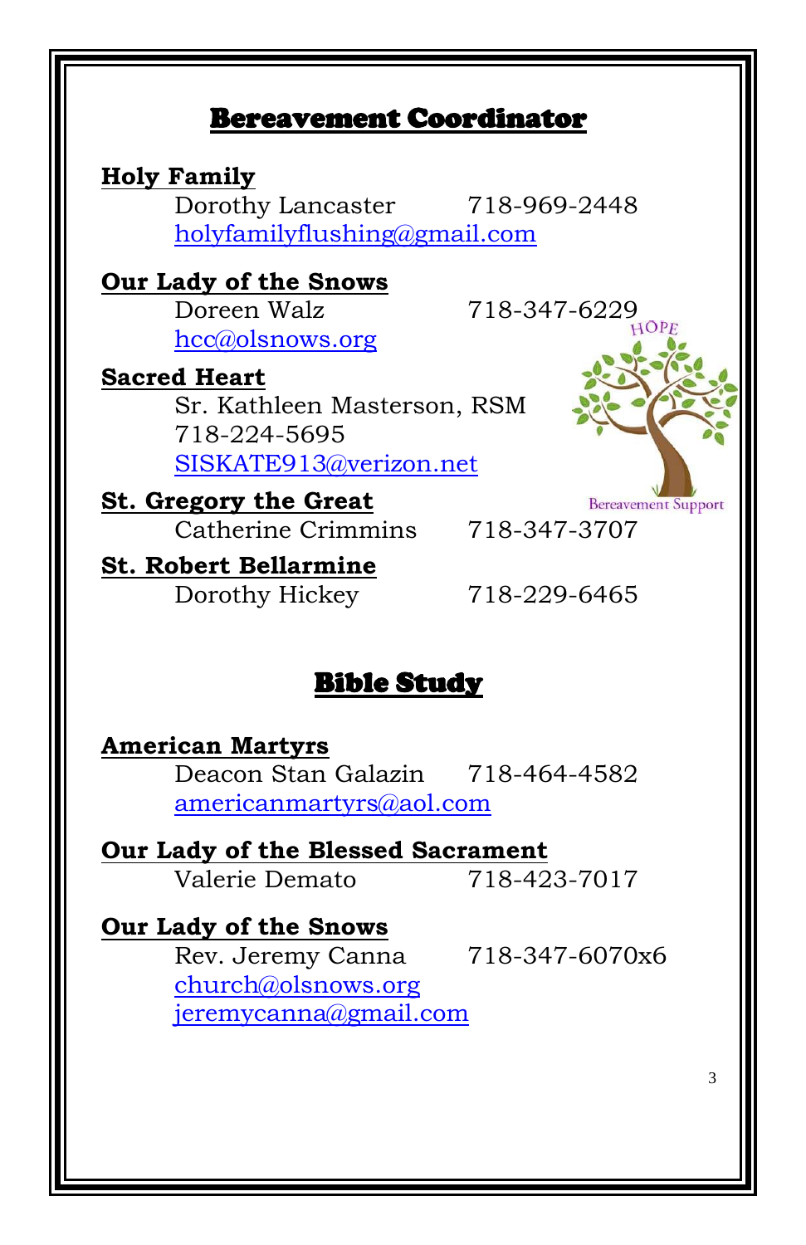# Bereavement Coordinator

**Holy Family** Dorothy Lancaster 718-969-2448 [holyfamilyflushing@gmail.com](mailto:holyfamilyflushing@gmail.com)

**Our Lady of the Snows** Doreen Walz 718-347-6229 [hcc@olsnows.org](mailto:hcc@olsnows.org)

**Sacred Heart** Sr. Kathleen Masterson, RSM 718-224-5695 [SISKATE913@verizon.net](mailto:SISKATE913@verizon.net)

**St. Gregory the Great** Catherine Crimmins 718-347-3707

**Bereavement Support** 

**St. Robert Bellarmine** Dorothy Hickey 718-229-6465

# Bible Study

**American Martyrs** Deacon Stan Galazin 718-464-4582 [americanmartyrs@aol.com](mailto:americanmartyrs@aol.com)

**Our Lady of the Blessed Sacrament** Valerie Demato 718-423-7017

**Our Lady of the Snows** Rev. Jeremy Canna 718-347-6070x6 [church@olsnows.org](mailto:church@olsnows.org) [jeremycanna@gmail.com](mailto:jeremycanna@gmail.com)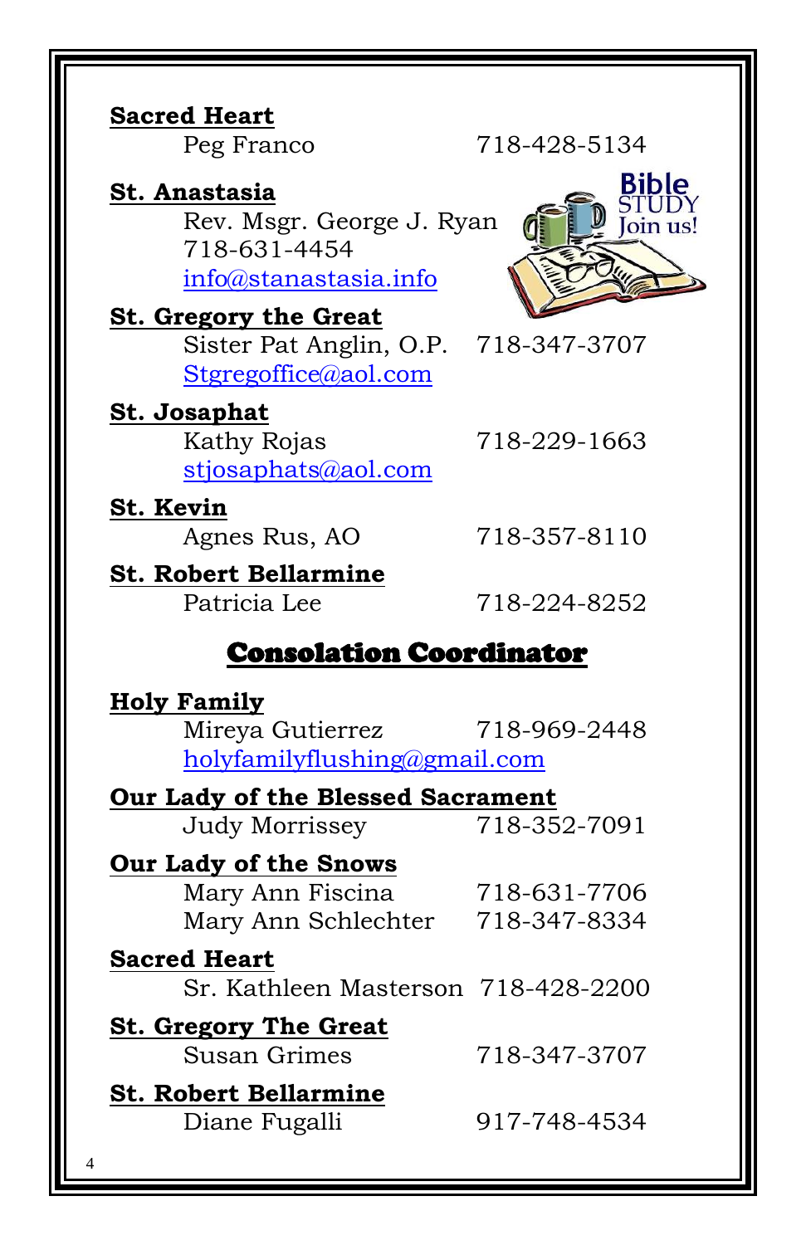| <b>Sacred Heart</b><br>Peg Franco                                                            | 718-428-5134 |
|----------------------------------------------------------------------------------------------|--------------|
| St. Anastasia<br>Rev. Msgr. George J. Ryan                                                   | <b>Rible</b> |
| 718-631-4454<br>info@stanastasia.info                                                        | oin us!      |
|                                                                                              |              |
| <b>St. Gregory the Great</b><br>Sister Pat Anglin, O.P. 718-347-3707<br>Stgregoffice@aol.com |              |
| <b>St. Josaphat</b><br>Kathy Rojas<br>stjosaphats@aol.com                                    | 718-229-1663 |
| St. Kevin<br>Agnes Rus, AO                                                                   | 718-357-8110 |
| <b>St. Robert Bellarmine</b><br>Patricia Lee                                                 | 718-224-8252 |
| <b>Consolation Coordinator</b>                                                               |              |
| <b>Holy Family</b><br>Mireya Gutierrez<br>holyfamilyflushing@gmail.com                       | 718-969-2448 |
| <b>Our Lady of the Blessed Sacrament</b>                                                     |              |
| <b>Judy Morrissey</b>                                                                        | 718-352-7091 |
| Our Lady of the Snows<br>Mary Ann Fiscina<br>Mary Ann Schlechter 718-347-8334                | 718-631-7706 |
| <b>Sacred Heart</b><br>Sr. Kathleen Masterson 718-428-2200                                   |              |
| <b>St. Gregory The Great</b><br><b>Susan Grimes</b>                                          | 718-347-3707 |
| <b>St. Robert Bellarmine</b><br>Diane Fugalli                                                | 917-748-4534 |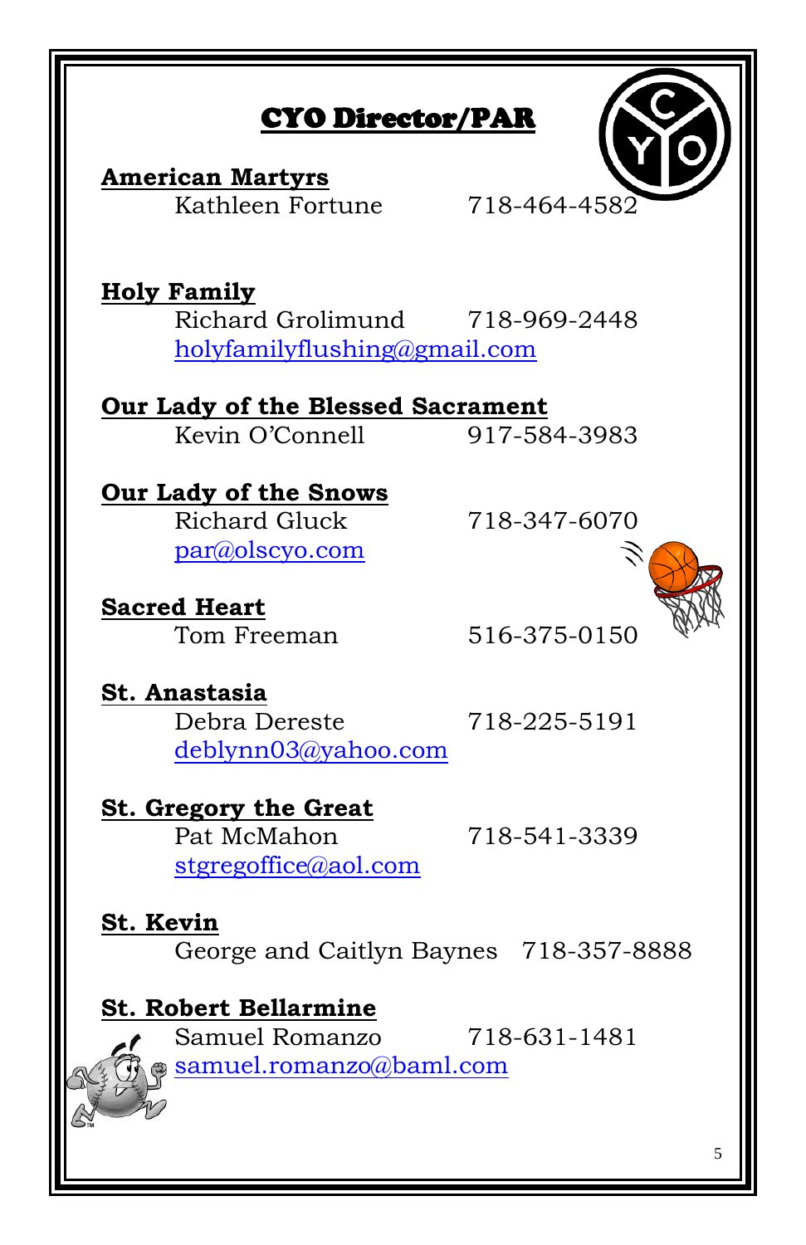# CYO Director/PAR

**American Martyrs** Kathleen Fortune 718-464-4582

**Holy Family** Richard Grolimund 718-969-2448 [holyfamilyflushing@gmail.com](mailto:holyfamilyflushing@gmail.com)

#### **Our Lady of the Blessed Sacrament** Kevin O'Connell 917-584-3983

**Our Lady of the Snows** Richard Gluck 718-347-6070 [par@olscyo.com](mailto:par@olscyo.com)

**Sacred Heart**



Tom Freeman 516-375-0150

**St. Anastasia** Debra Dereste 718-225-5191 [deblynn03@yahoo.com](mailto:deblynn03@yahoo.com)

## **St. Gregory the Great** Pat McMahon 718-541-3339 [stgregoffice@aol.com](mailto:stgregoffice@aol.com)

# **St. Kevin** George and Caitlyn Baynes 718-357-8888

# **St. Robert Bellarmine**

Samuel Romanzo 718-631-1481 [samuel.romanzo@baml.com](mailto:samuel.romanzo@baml.com)

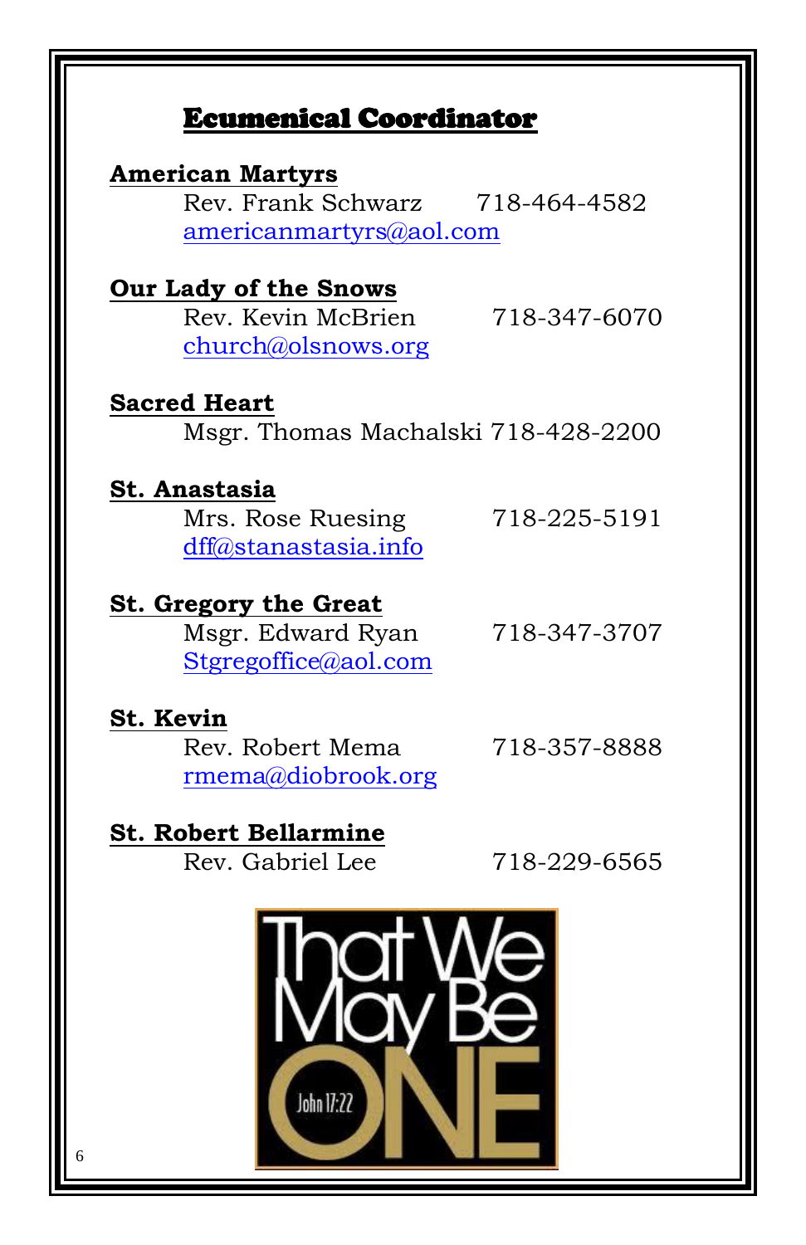# Ecumenical Coordinator

| <b>American Martyrs</b>             |              |
|-------------------------------------|--------------|
| Rev. Frank Schwarz                  | 718-464-4582 |
|                                     |              |
| americanmartyrs@aol.com             |              |
|                                     |              |
| Our Lady of the Snows               |              |
| Rev. Kevin McBrien                  | 718-347-6070 |
| church@olsnows.org                  |              |
|                                     |              |
| <b>Sacred Heart</b>                 |              |
| Msgr. Thomas Machalski 718-428-2200 |              |
|                                     |              |
| St. Anastasia                       |              |
| Mrs. Rose Ruesing                   | 718-225-5191 |
| dff@stanastasia.info                |              |
|                                     |              |
| <b>St. Gregory the Great</b>        |              |
| Msgr. Edward Ryan                   | 718-347-3707 |
| Stgregoffice@aol.com                |              |
|                                     |              |
| St. Kevin                           |              |
|                                     | 718-357-8888 |
| Rev. Robert Mema                    |              |
| rmema@diobrook.org                  |              |
|                                     |              |
| <b>St. Robert Bellarmine</b>        |              |
| Rev. Gabriel Lee                    | 718-229-6565 |
|                                     |              |
|                                     |              |

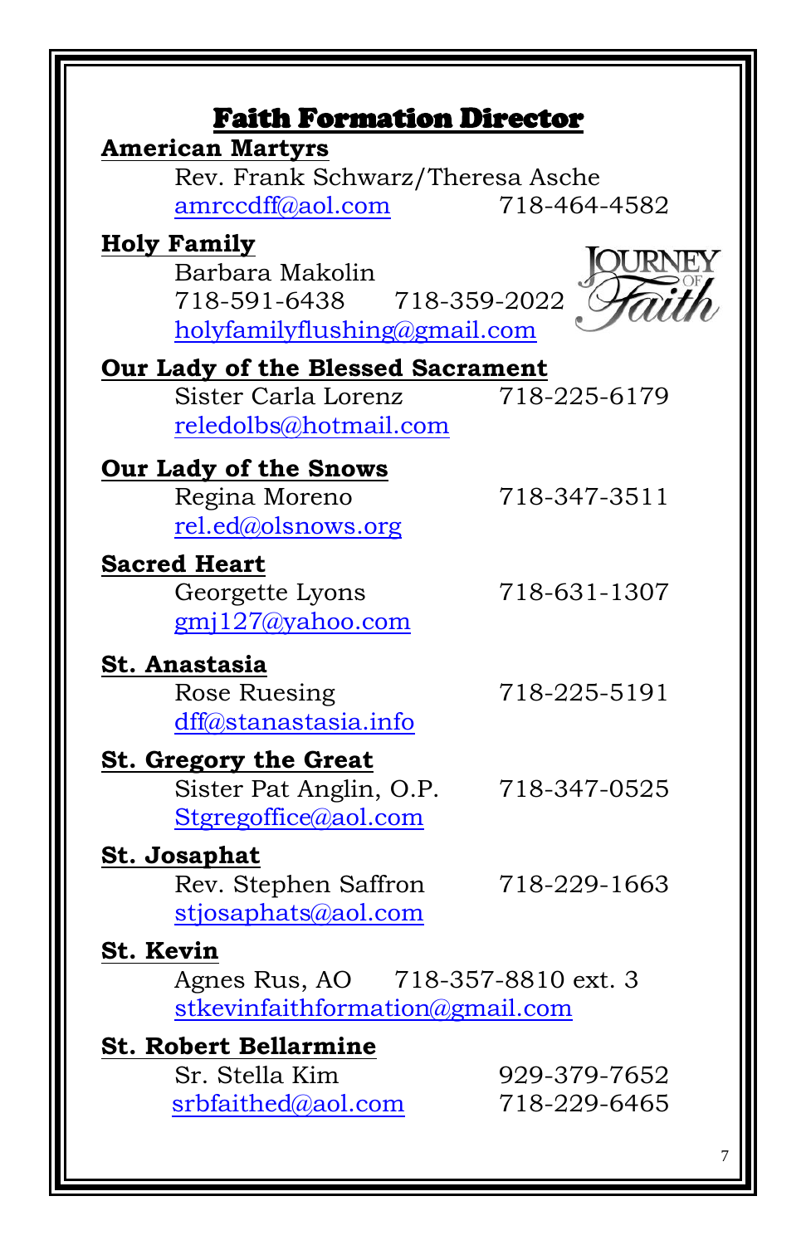| <b>American Martyrs</b><br>Rev. Frank Schwarz/Theresa Asche                                        |                              |
|----------------------------------------------------------------------------------------------------|------------------------------|
| amrccdff@aol.com                                                                                   | 718-464-4582                 |
| <b>Holy Family</b><br>Barbara Makolin<br>718-591-6438 718-359-2022<br>holyfamilyflushing@gmail.com |                              |
| Our Lady of the Blessed Sacrament                                                                  |                              |
| Sister Carla Lorenz<br>reledolbs@hotmail.com                                                       | 718-225-6179                 |
| <b>Our Lady of the Snows</b>                                                                       |                              |
| Regina Moreno<br>rel.ed@olsnows.org                                                                | 718-347-3511                 |
| <b>Sacred Heart</b>                                                                                |                              |
| Georgette Lyons<br>$gmi127$ @yahoo.com                                                             | 718-631-1307                 |
| St. Anastasia                                                                                      |                              |
| Rose Ruesing<br>dff@stanastasia.info                                                               | 718-225-5191                 |
| <b>St. Gregory the Great</b>                                                                       |                              |
| Sister Pat Anglin, O.P.<br>Stgregoffice@aol.com                                                    | 718-347-0525                 |
| <u>St. Josaphat</u>                                                                                |                              |
| Rev. Stephen Saffron<br>stjosaphats@aol.com                                                        | 718-229-1663                 |
| St. Kevin                                                                                          |                              |
| Agnes Rus, AO 718-357-8810 ext. 3<br>stkevinfaithformation@gmail.com                               |                              |
| <b>St. Robert Bellarmine</b>                                                                       |                              |
| Sr. Stella Kim                                                                                     | 929-379-7652<br>718-229-6465 |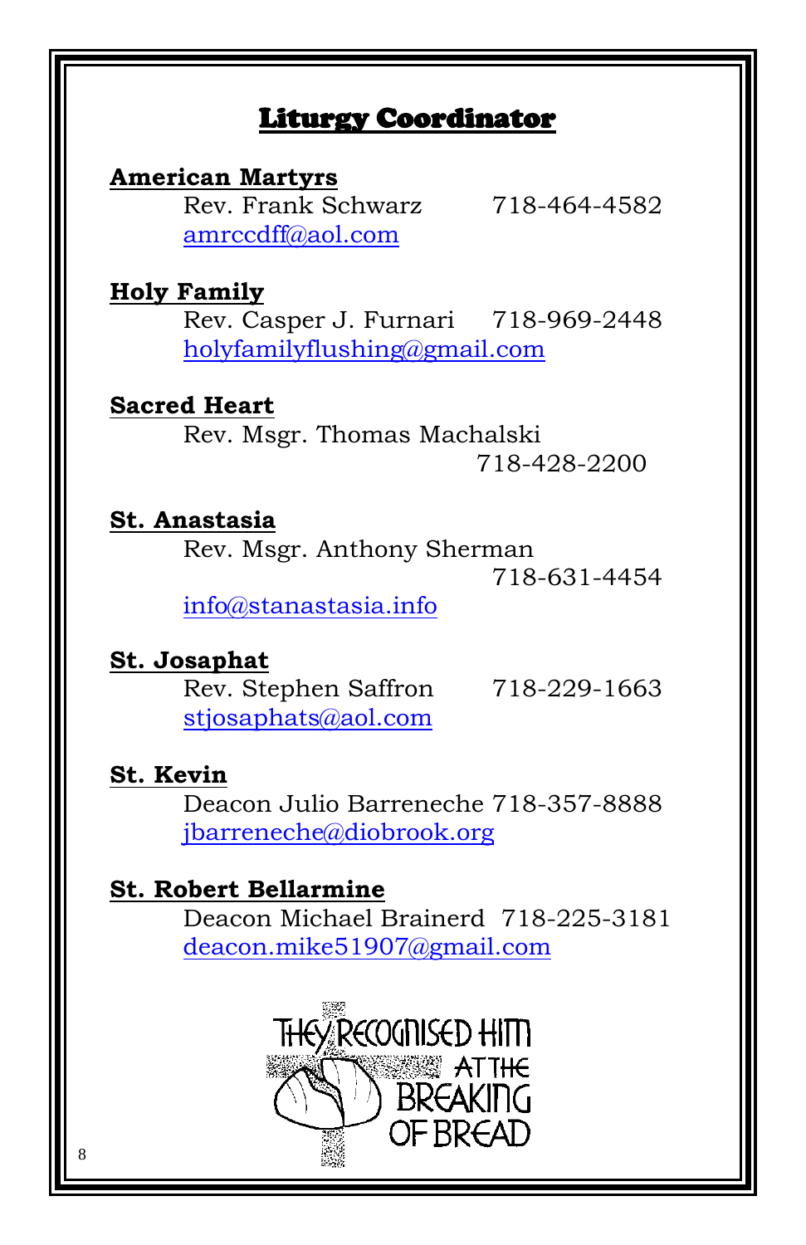# Liturgy Coordinator

**American Martyrs** Rev. Frank Schwarz 718-464-4582 [amrccdff@aol.com](mailto:amrccdff@aol.com)

## **Holy Family**

Rev. Casper J. Furnari 718-969-2448 [holyfamilyflushing@gmail.com](mailto:holyfamilyflushing@gmail.com)

## **Sacred Heart**

Rev. Msgr. Thomas Machalski 718-428-2200

#### **St. Anastasia**

Rev. Msgr. Anthony Sherman

718-631-4454

[info@stanastasia.info](mailto:info@stanastasia.info)

## **St. Josaphat**

Rev. Stephen Saffron 718-229-1663 [stjosaphats@aol.com](mailto:stjosaphats@aol.com)

#### **St. Kevin**

Deacon Julio Barreneche 718-357-8888 [jbarreneche@diobrook.org](mailto:jbarreneche@diobrook.org)

# **St. Robert Bellarmine**

Deacon Michael Brainerd 718-225-3181 [deacon.mike51907@gmail.com](mailto:deacon.mike51907@gmail.com)

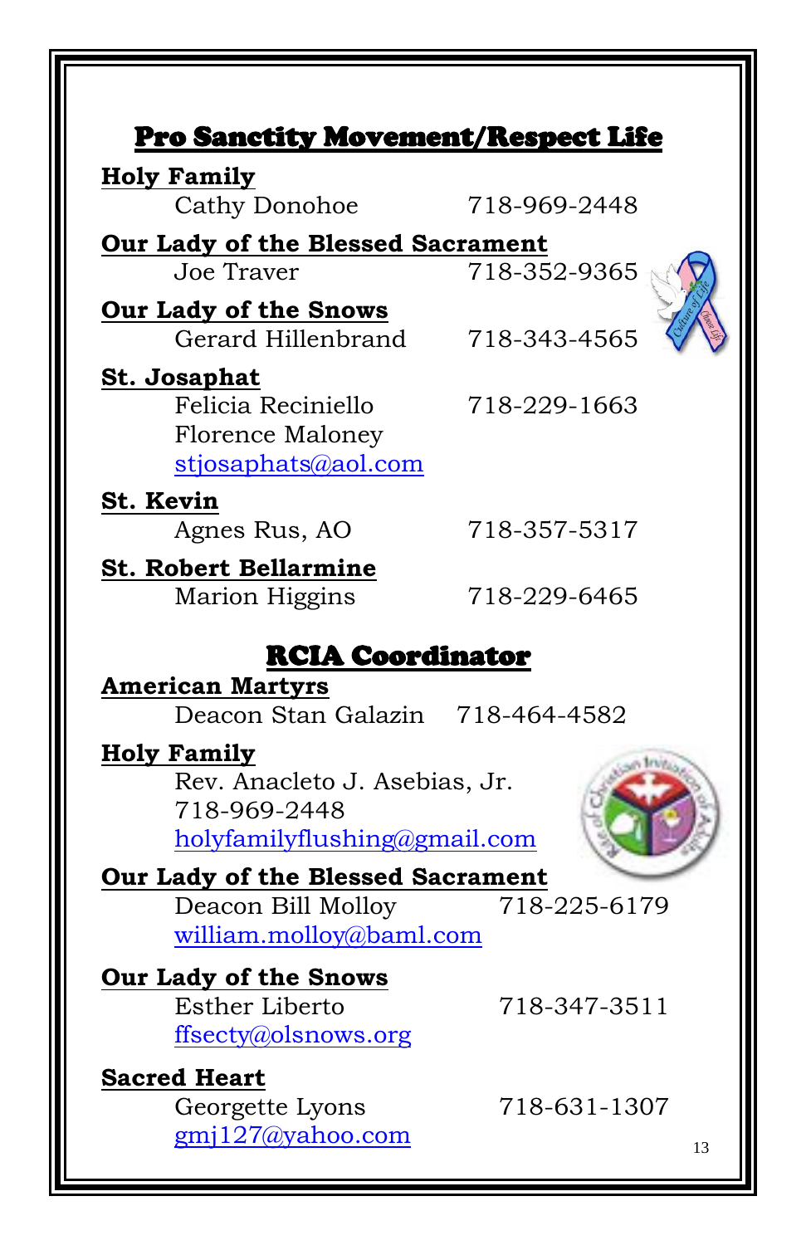| Pro Sanctity Movement/Respect Life                                                                  |              |  |
|-----------------------------------------------------------------------------------------------------|--------------|--|
| <b>Holy Family</b><br>Cathy Donohoe                                                                 | 718-969-2448 |  |
|                                                                                                     |              |  |
| Our Lady of the Blessed Sacrament<br>Joe Traver                                                     | 718-352-9365 |  |
|                                                                                                     |              |  |
| Our Lady of the Snows<br>Gerard Hillenbrand                                                         | 718-343-4565 |  |
| <u>St. Josaphat</u><br>Felicia Reciniello<br><b>Florence Maloney</b><br>stjosaphats@aol.com         | 718-229-1663 |  |
| <b>St. Kevin</b>                                                                                    |              |  |
| Agnes Rus, AO                                                                                       | 718-357-5317 |  |
| <b>St. Robert Bellarmine</b><br>Marion Higgins                                                      | 718-229-6465 |  |
| <b>RCIA Coordinator</b>                                                                             |              |  |
| <b>American Martyrs</b><br>Deacon Stan Galazin 718-464-4582                                         |              |  |
| <b>Holy Family</b><br>Rev. Anacleto J. Asebias, Jr.<br>718-969-2448<br>holyfamilyflushing@gmail.com |              |  |
| Our Lady of the Blessed Sacrament                                                                   |              |  |
| Deacon Bill Molloy<br>william.molloy@baml.com                                                       | 718-225-6179 |  |
| <b>Our Lady of the Snows</b>                                                                        |              |  |
| Esther Liberto<br>ffsecty@olsnows.org                                                               | 718-347-3511 |  |
| <b>Sacred Heart</b>                                                                                 |              |  |
| Georgette Lyons                                                                                     | 718-631-1307 |  |
| $gmi127$ (ayahoo.com                                                                                | 13           |  |

TII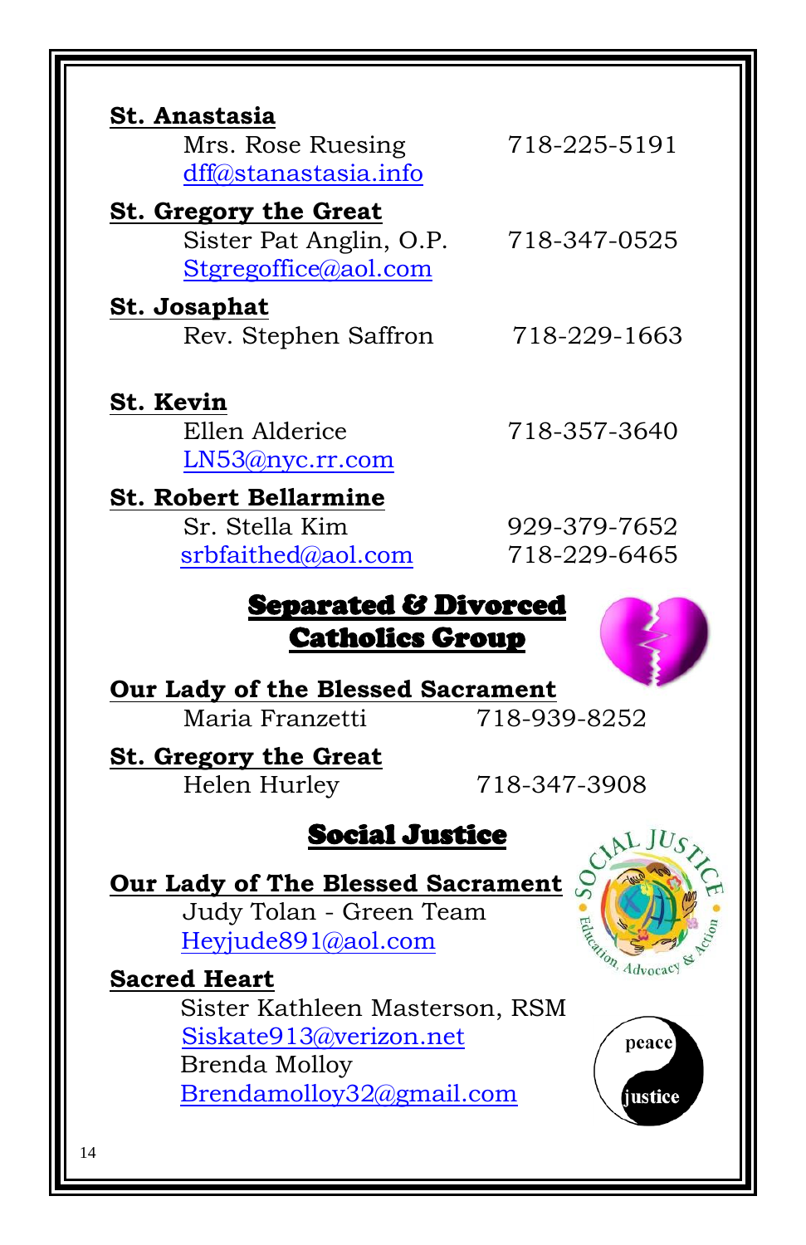| St. Anastasia<br>Mrs. Rose Ruesing<br>dff@stanastasia.info                      | 718-225-5191                 |  |
|---------------------------------------------------------------------------------|------------------------------|--|
| <b>St. Gregory the Great</b><br>Sister Pat Anglin, O.P.<br>Stgregoffice@aol.com | 718-347-0525                 |  |
| <u>St. Josaphat</u><br>Rev. Stephen Saffron                                     | 718-229-1663                 |  |
| St. Kevin<br>Ellen Alderice<br>LN53@nyc.rr.com                                  | 718-357-3640                 |  |
| <b>St. Robert Bellarmine</b><br>Sr. Stella Kim<br>srbfaithed@aol.com            | 929-379-7652<br>718-229-6465 |  |
| Separated & Divorced<br><b>Catholics Group</b>                                  |                              |  |
| Our Lady of the Blessed Sacrament<br>Maria Franzetti                            | 718-939-8252                 |  |
| St. Gregory the Great                                                           |                              |  |

**St. Gregory the Great** Helen Hurley 718-347-3908

# Social Justice

**Our Lady of The Blessed Sacrament** Judy Tolan - Green Team [Heyjude891@aol.com](mailto:Heyjude891@aol.com)

**Sacred Heart** Sister Kathleen Masterson, RSM [Siskate913@verizon.net](mailto:Siskate913@verizon.net) Brenda Molloy [Brendamolloy32@gmail.com](mailto:Brendamolloy32@gmail.com)



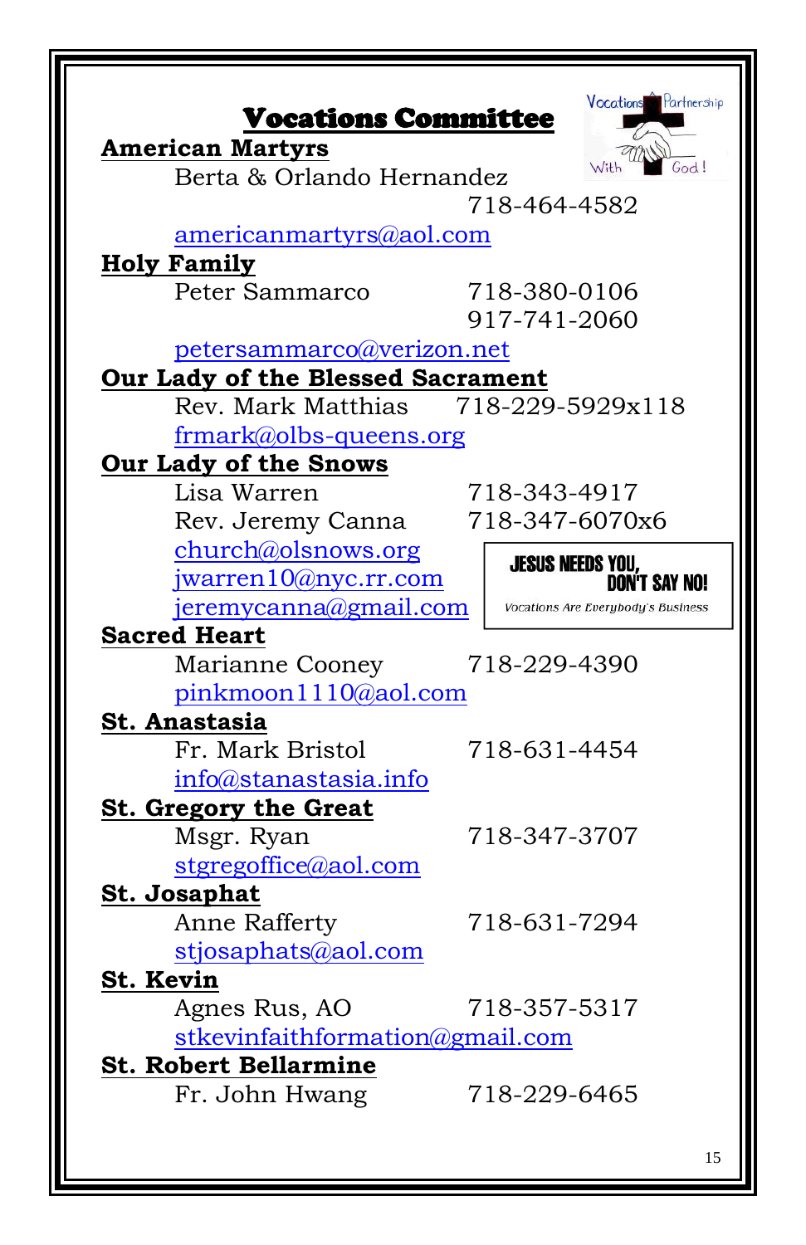| <b>American Martyrs</b><br>Berta & Orlando Hernandez | With<br>God!                       |
|------------------------------------------------------|------------------------------------|
|                                                      | 718-464-4582                       |
| americanmartyrs@aol.com                              |                                    |
| <b>Holy Family</b>                                   |                                    |
| Peter Sammarco                                       | 718-380-0106                       |
|                                                      | 917-741-2060                       |
| petersammarco@verizon.net                            |                                    |
| Our Lady of the Blessed Sacrament                    |                                    |
| Rev. Mark Matthias                                   | 718-229-5929x118                   |
| frmark@olbs-queens.org                               |                                    |
| <b>Our Lady of the Snows</b>                         |                                    |
| Lisa Warren                                          | 718-343-4917                       |
| Rev. Jeremy Canna                                    | 718-347-6070x6                     |
| church@olsnows.org                                   | <b>JESUS NEEDS YOU,</b>            |
| jwarren $10@$ nyc.rr.com                             | <b>DON'T SAY NO!</b>               |
| jeremycanna@gmail.com                                | Vocations Are Everybody's Business |
| <b>Sacred Heart</b>                                  |                                    |
| Marianne Cooney                                      | 718-229-4390                       |
| pinkmoon1110@aol.com                                 |                                    |
| St. Anastasia                                        |                                    |
| Fr. Mark Bristol                                     | 718-631-4454                       |
| info@stanastasia.info                                |                                    |
| St. Gregory the Great                                |                                    |
| Msgr. Ryan                                           | 718-347-3707                       |
| stgregoffice@aol.com<br><b>St. Josaphat</b>          |                                    |
| Anne Rafferty                                        | 718-631-7294                       |
| stjosaphats@aol.com                                  |                                    |
| St. Kevin                                            |                                    |
| Agnes Rus, AO                                        | 718-357-5317                       |
| stkevinfaithformation@gmail.com                      |                                    |
|                                                      |                                    |
| <b>St. Robert Bellarmine</b>                         |                                    |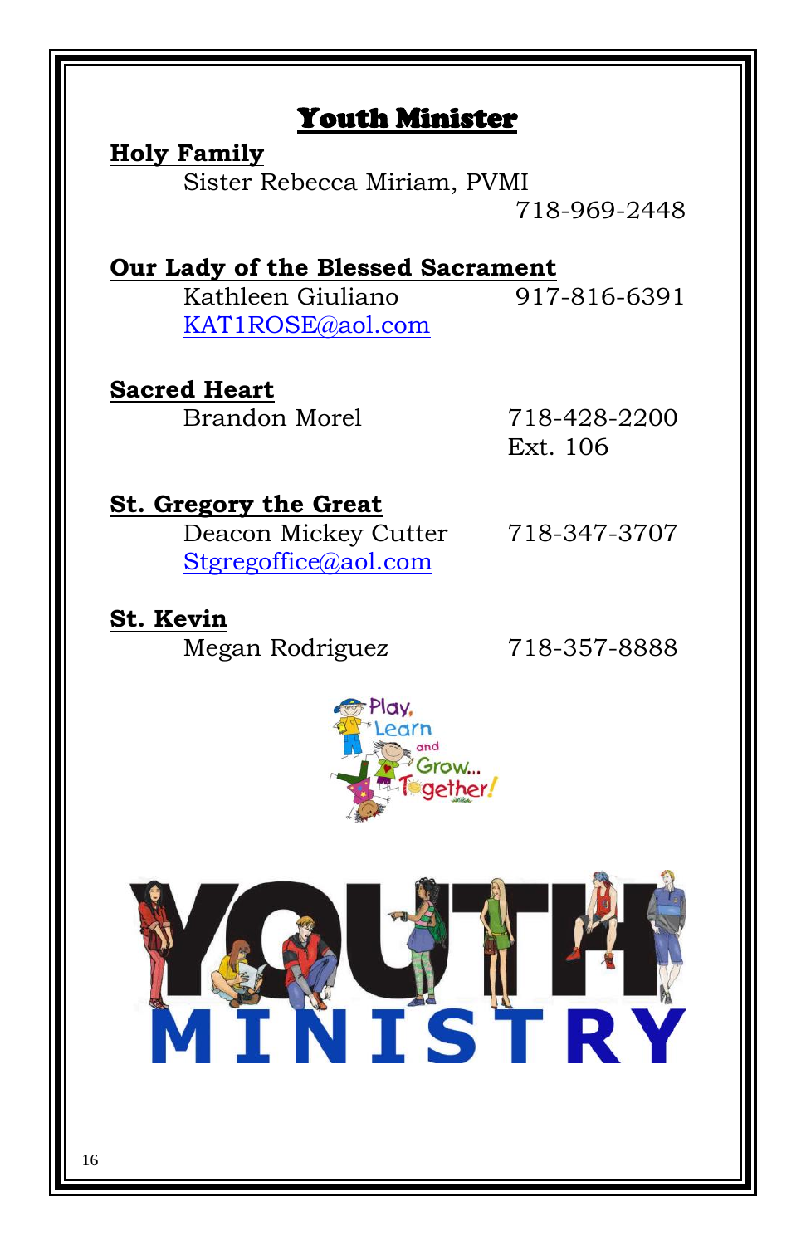# Youth Minister

# **Holy Family**

Sister Rebecca Miriam, PVMI 718-969-2448

**Our Lady of the Blessed Sacrament** Kathleen Giuliano 917-816-6391 [KAT1ROSE@aol.com](mailto:KAT1ROSE@aol.com)

# **Sacred Heart**

Brandon Morel 718-428-2200

Ext. 106

# **St. Gregory the Great**

Deacon Mickey Cutter 718-347-3707 [Stgregoffice@aol.com](mailto:Stgregoffice@aol.com)

# **St. Kevin**

Megan Rodriguez 718-357-8888



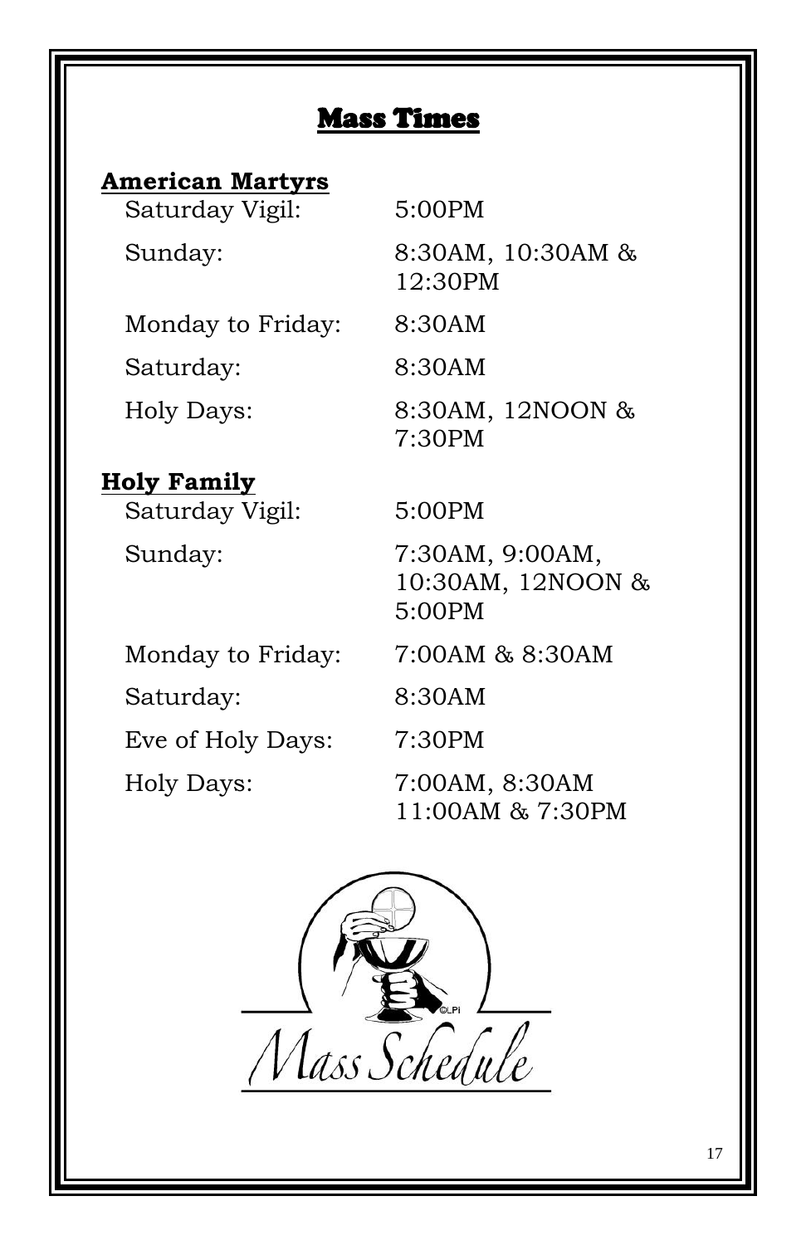# **American Martyrs**

| Saturday Vigil:   | 5:00PM                        |
|-------------------|-------------------------------|
| Sunday:           | 8:30AM, 10:30AM &<br>12:30PM  |
| Monday to Friday: | 8:30AM                        |
| Saturday:         | 8:30AM                        |
| Holy Days:        | 8:30AM, 12NOON &<br>$7.30$ PM |

# **Holy Family**

 Saturday Vigil: 5:00PM Sunday: 7:30AM, 9:00AM,

7:30PM

10:30AM, 12NOON & 5:00PM

Monday to Friday: 7:00AM & 8:30AM

Saturday: 8:30AM Eve of Holy Days: 7:30PM Holy Days: 7:00AM, 8:30AM

11:00AM & 7:30PM

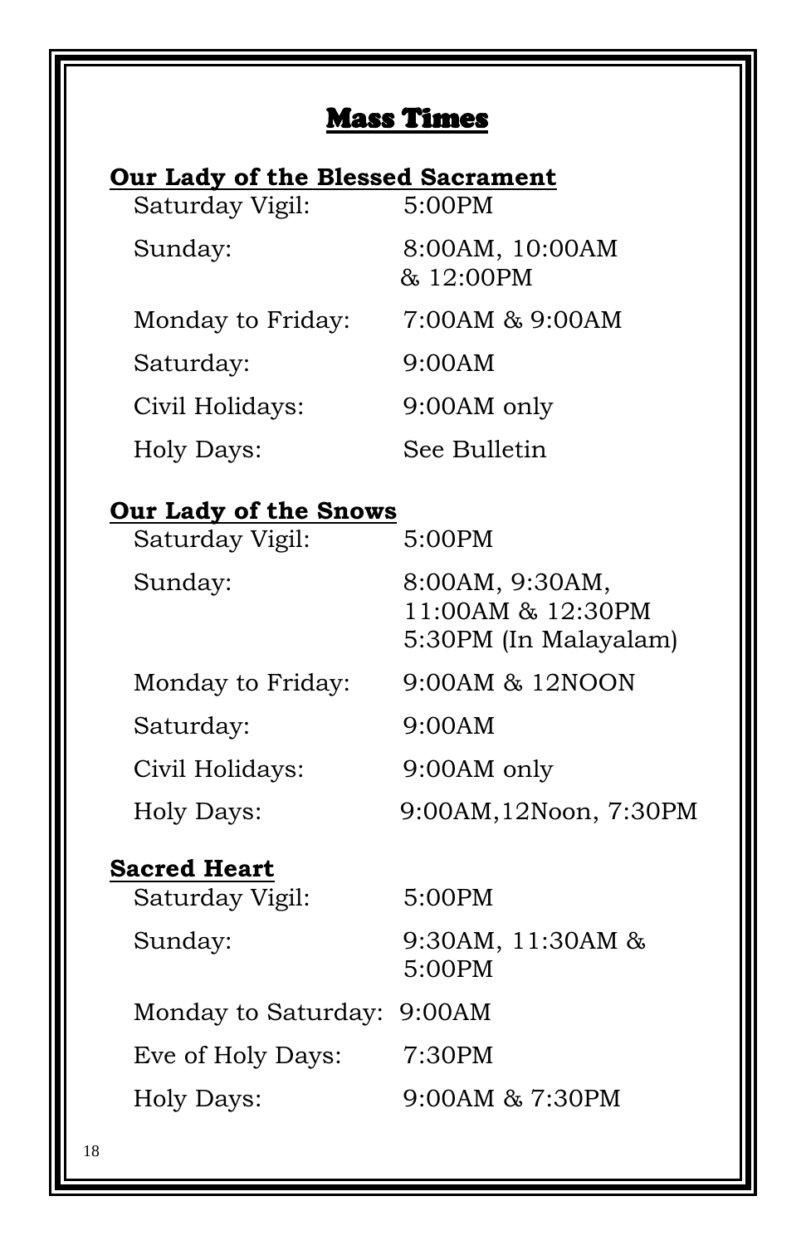# **Our Lady of the Blessed Sacrament**

| Saturday Vigil:   | 5:00PM                       |
|-------------------|------------------------------|
| Sunday:           | 8:00AM, 10:00AM<br>& 12:00PM |
| Monday to Friday: | 7:00AM & 9:00AM              |
| Saturday:         | 9:00AM                       |
| Civil Holidays:   | 9:00AM only                  |
| <b>Holy Days:</b> | See Bulletin                 |

# **Our Lady of the Snows**

| Saturday Vigil:   | 5:00PM                                                        |
|-------------------|---------------------------------------------------------------|
| Sunday:           | 8:00AM, 9:30AM,<br>11:00AM & 12:30PM<br>5:30PM (In Malayalam) |
| Monday to Friday: | 9:00AM & 12NOON                                               |
| Saturday:         | 9:00AM                                                        |
| Civil Holidays:   | 9:00AM only                                                   |
| Holy Days:        | 9:00AM, 12Noon, 7:30PM                                        |

# **Sacred Heart**

| Saturday Vigil:            | 5:00PM                      |
|----------------------------|-----------------------------|
| Sunday:                    | 9:30AM, 11:30AM &<br>5:00PM |
| Monday to Saturday: 9:00AM |                             |
| Eve of Holy Days:          | 7:30PM                      |
| Holy Days:                 | $9:00AM$ & $7:30PM$         |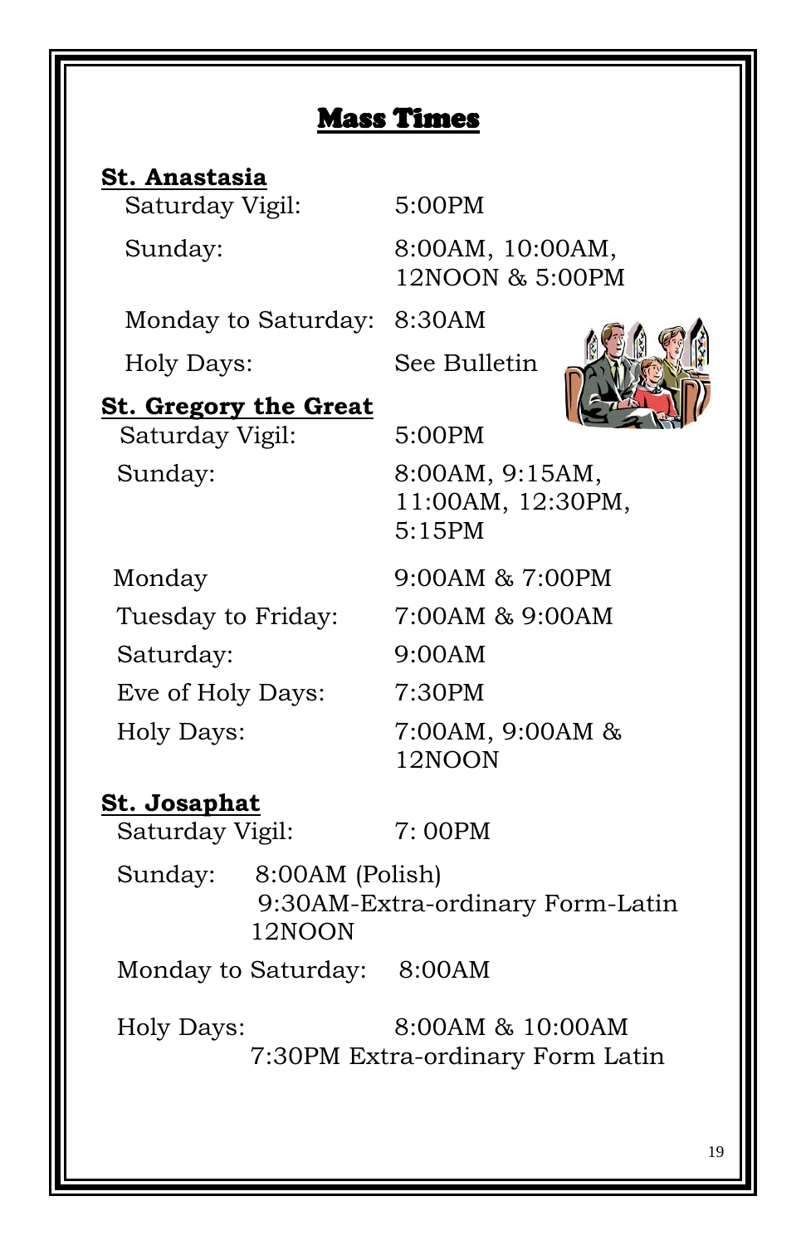**St. Anastasia** Saturday Vigil: 5:00PM

 Sunday: 8:00AM, 10:00AM, 12NOON & 5:00PM

Monday to Saturday: 8:30AM

Holy Days: See Bulletin



**St. Gregory the Great**

Saturday Vigil: 5:00PM

 Sunday: 8:00AM, 9:15AM, 11:00AM, 12:30PM, 5:15PM

 Monday 9:00AM & 7:00PM Tuesday to Friday: 7:00AM & 9:00AM Saturday: 9:00AM Eve of Holy Days: 7:30PM

 Holy Days: 7:00AM, 9:00AM & 12NOON

#### **St. Josaphat**

Saturday Vigil:  $7:00PM$ 

 Sunday: 8:00AM (Polish) 9:30AM-Extra-ordinary Form-Latin 12NOON

Monday to Saturday: 8:00AM

 Holy Days: 8:00AM & 10:00AM 7:30PM Extra-ordinary Form Latin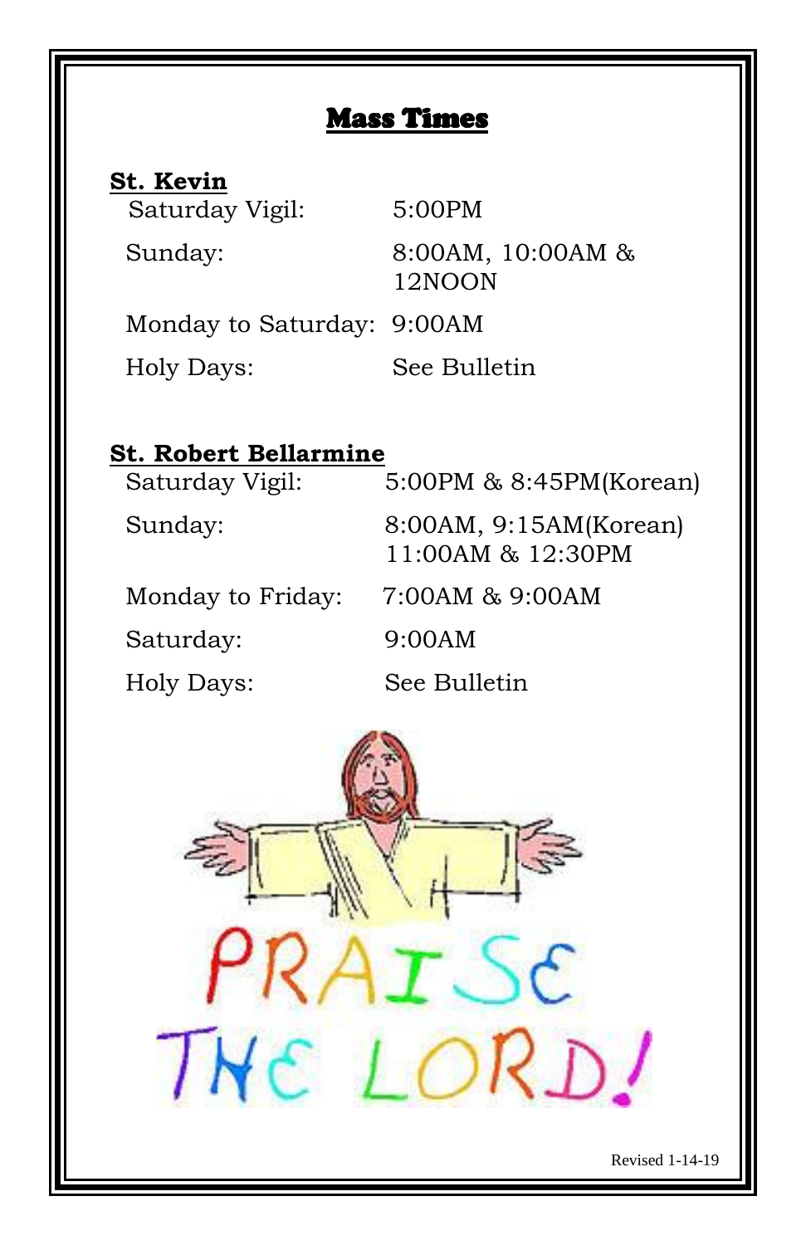| St. Kevin                  |                             |
|----------------------------|-----------------------------|
| Saturday Vigil:            | $5:00$ PM                   |
| Sunday:                    | 8:00AM, 10:00AM &<br>12NOON |
| Monday to Saturday: 9:00AM |                             |
| Holy Days:                 | See Bulletin                |

# **St. Robert Bellarmine**

| Saturday Vigil:   | 5:00PM & 8:45PM(Korean)                     |
|-------------------|---------------------------------------------|
| Sunday:           | 8:00AM, 9:15AM(Korean)<br>11:00AM & 12:30PM |
| Monday to Friday: | 7:00AM & 9:00AM                             |
| Saturday:         | 9:00AM                                      |
| Holy Days:        | See Bulletin                                |

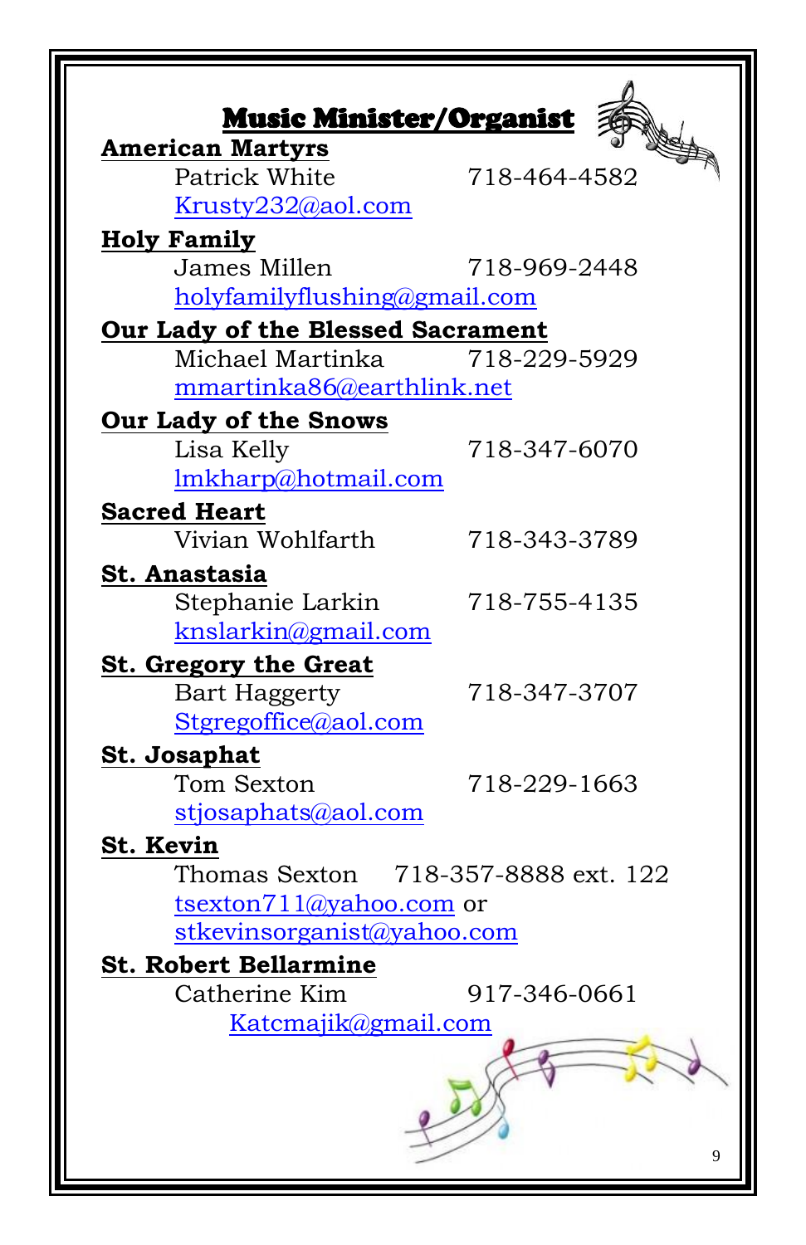| <b>Music Minister/Organist</b><br><b>American Martyrs</b> |              |
|-----------------------------------------------------------|--------------|
| Patrick White                                             | 718-464-4582 |
| Krusty232@aol.com                                         |              |
| <b>Holy Family</b>                                        |              |
| James Millen                                              | 718-969-2448 |
| holyfamilyflushing@gmail.com                              |              |
| Our Lady of the Blessed Sacrament                         |              |
| Michael Martinka                                          | 718-229-5929 |
| mmartinka86@earthlink.net                                 |              |
| Our Lady of the Snows                                     |              |
| Lisa Kelly                                                | 718-347-6070 |
| lmkharp@hotmail.com                                       |              |
| <b>Sacred Heart</b>                                       |              |
| Vivian Wohlfarth                                          | 718-343-3789 |
| St. Anastasia                                             |              |
| Stephanie Larkin                                          | 718-755-4135 |
| knslarkin@gmail.com                                       |              |
| <b>St. Gregory the Great</b>                              |              |
| <b>Bart Haggerty</b>                                      | 718-347-3707 |
| Stgregoffice@aol.com                                      |              |
| <b>St. Josaphat</b>                                       |              |
| Tom Sexton<br>stjosaphats@aol.com                         | 718-229-1663 |
|                                                           |              |
| St. Kevin<br>Thomas Sexton 718-357-8888 ext. 122          |              |
| tsexton711@yahoo.com or                                   |              |
| stkevinsorganist@yahoo.com                                |              |
| <b>St. Robert Bellarmine</b>                              |              |
| Catherine Kim                                             | 917-346-0661 |
| Katcmajik@gmail.com                                       |              |
|                                                           | 9            |
|                                                           |              |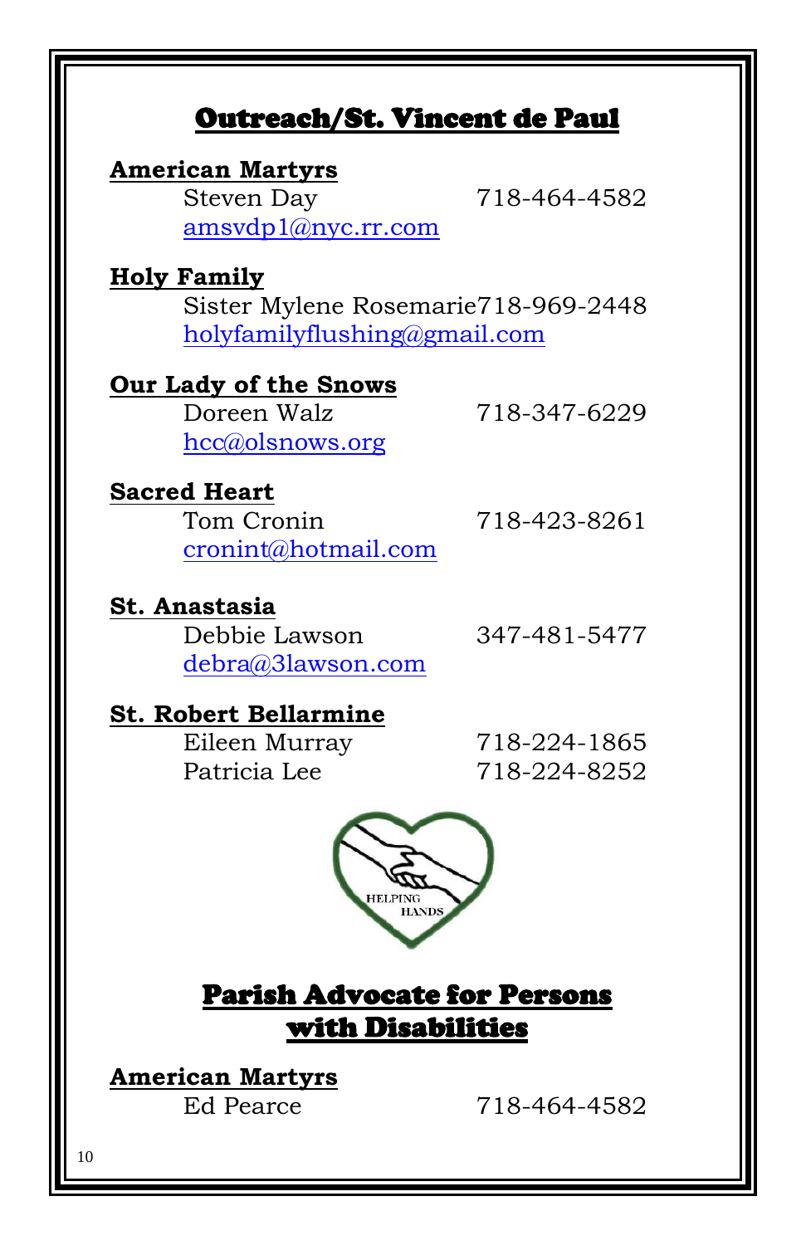# Outreach/St. Vincent de Paul

#### **American Martyrs**

Steven Day 718-464-4582 [amsvdp1@nyc.rr.com](mailto:amsvdp1@nyc.rr.com)

#### **Holy Family**

Sister Mylene Rosemarie718-969-2448 [holyfamilyflushing@gmail.com](mailto:holyfamilyflushing@gmail.com)

## **Our Lady of the Snows**

Doreen Walz 718-347-6229 [hcc@olsnows.org](mailto:hcc@olsnows.org)

# **Sacred Heart**

Tom Cronin 718-423-8261 [cronint@hotmail.com](mailto:cronint@hotmail.com)

## **St. Anastasia**

Debbie Lawson 347-481-5477 [debra@3lawson.com](mailto:debra@3lawson.com)

#### **St. Robert Bellarmine**

Eileen Murray 718-224-1865 Patricia Lee 718-224-8252



Parish Advocate for Persons with Disabilities

**American Martyrs**

Ed Pearce 718-464-4582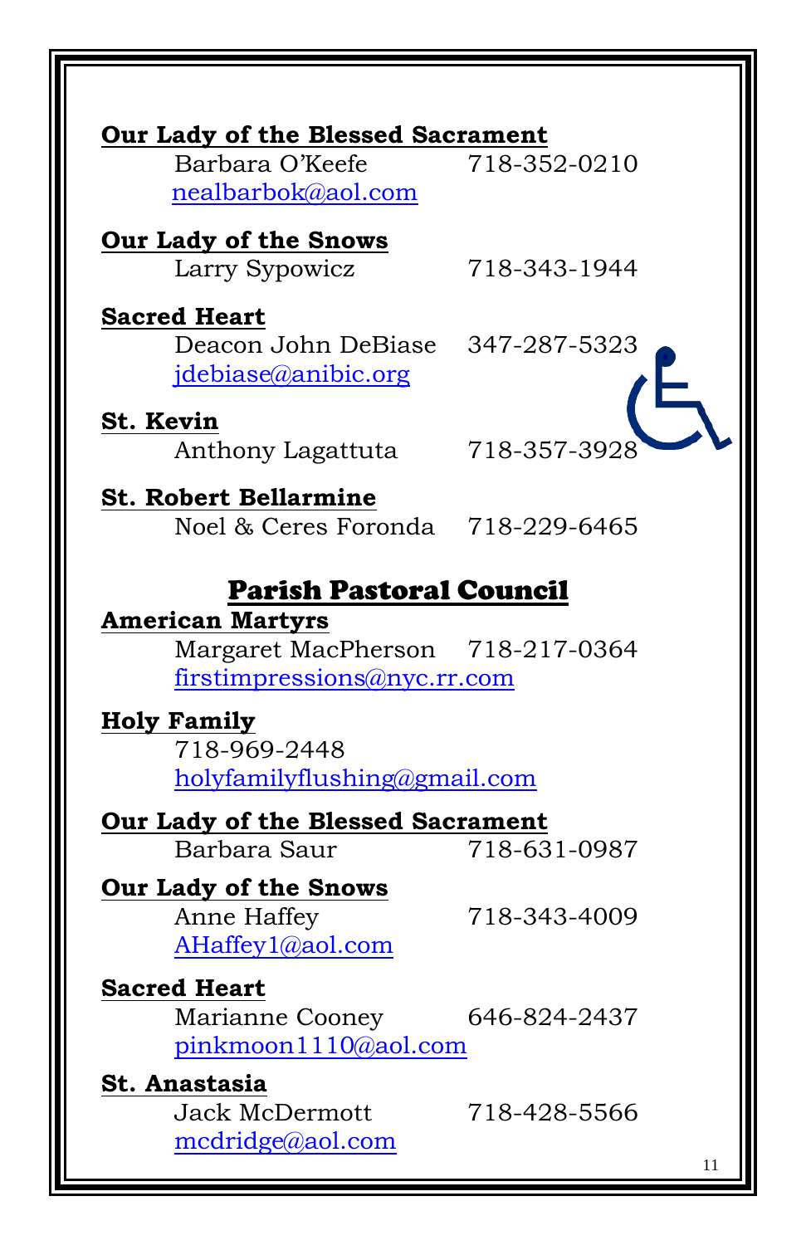| Our Lady of the Blessed Sacrament                                                                 |
|---------------------------------------------------------------------------------------------------|
| 718-352-0210                                                                                      |
| 718-343-1944                                                                                      |
| Deacon John DeBiase 347-287-5323                                                                  |
| 718-357-3928                                                                                      |
| Noel & Ceres Foronda 718-229-6465                                                                 |
| <b>Parish Pastoral Council</b><br>Margaret MacPherson 718-217-0364<br>firstimpressions@nyc.rr.com |
| holyfamilyflushing@gmail.com                                                                      |
| <b>Our Lady of the Blessed Sacrament</b><br>718-631-0987                                          |
| 718-343-4009                                                                                      |
| 646-824-2437<br>pinkmoon1110@aol.com                                                              |
| 718-428-5566<br>11                                                                                |
|                                                                                                   |